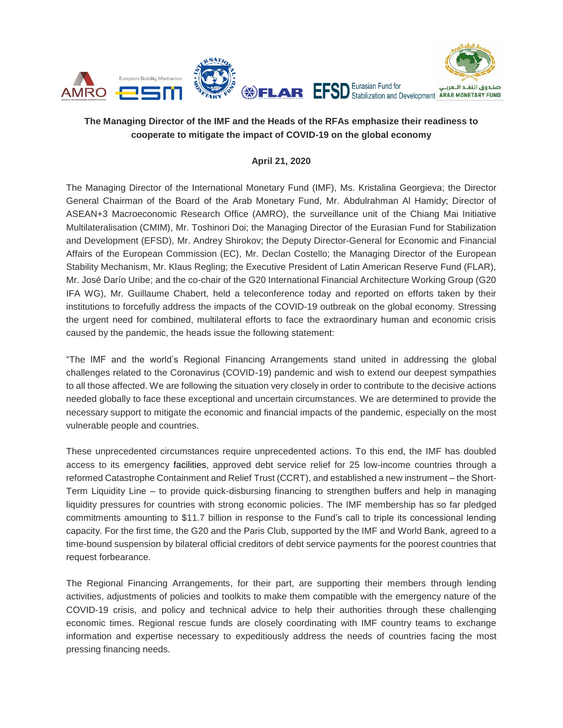

# **The Managing Director of the IMF and the Heads of the RFAs emphasize their readiness to cooperate to mitigate the impact of COVID-19 on the global economy**

### **April 21, 2020**

The Managing Director of the International Monetary Fund (IMF), Ms. Kristalina Georgieva; the Director General Chairman of the Board of the Arab Monetary Fund, Mr. Abdulrahman Al Hamidy; Director of ASEAN+3 Macroeconomic Research Office (AMRO), the surveillance unit of the Chiang Mai Initiative Multilateralisation (CMIM), Mr. Toshinori Doi; the Managing Director of the Eurasian Fund for Stabilization and Development (EFSD), Mr. Andrey Shirokov; the Deputy Director-General for Economic and Financial Affairs of the European Commission (EC), Mr. Declan Costello; the Managing Director of the European Stability Mechanism, Mr. Klaus Regling; the Executive President of Latin American Reserve Fund (FLAR), Mr. José Darío Uribe; and the co-chair of the G20 International Financial Architecture Working Group (G20 IFA WG), Mr. Guillaume Chabert, held a teleconference today and reported on efforts taken by their institutions to forcefully address the impacts of the COVID-19 outbreak on the global economy. Stressing the urgent need for combined, multilateral efforts to face the extraordinary human and economic crisis caused by the pandemic, the heads issue the following statement:

"The IMF and the world's Regional Financing Arrangements stand united in addressing the global challenges related to the Coronavirus (COVID-19) pandemic and wish to extend our deepest sympathies to all those affected. We are following the situation very closely in order to contribute to the decisive actions needed globally to face these exceptional and uncertain circumstances. We are determined to provide the necessary support to mitigate the economic and financial impacts of the pandemic, especially on the most vulnerable people and countries.

These unprecedented circumstances require unprecedented actions. To this end, the IMF has doubled access to its emergency facilities, approved debt service relief for 25 low-income countries through a reformed Catastrophe Containment and Relief Trust (CCRT), and established a new instrument – the Short-Term Liquidity Line – to provide quick-disbursing financing to strengthen buffers and help in managing liquidity pressures for countries with strong economic policies. The IMF membership has so far pledged commitments amounting to \$11.7 billion in response to the Fund's call to triple its concessional lending capacity. For the first time, the G20 and the Paris Club, supported by the IMF and World Bank, agreed to a time-bound suspension by bilateral official creditors of debt service payments for the poorest countries that request forbearance.

The Regional Financing Arrangements, for their part, are supporting their members through lending activities, adjustments of policies and toolkits to make them compatible with the emergency nature of the COVID-19 crisis, and policy and technical advice to help their authorities through these challenging economic times. Regional rescue funds are closely coordinating with IMF country teams to exchange information and expertise necessary to expeditiously address the needs of countries facing the most pressing financing needs.